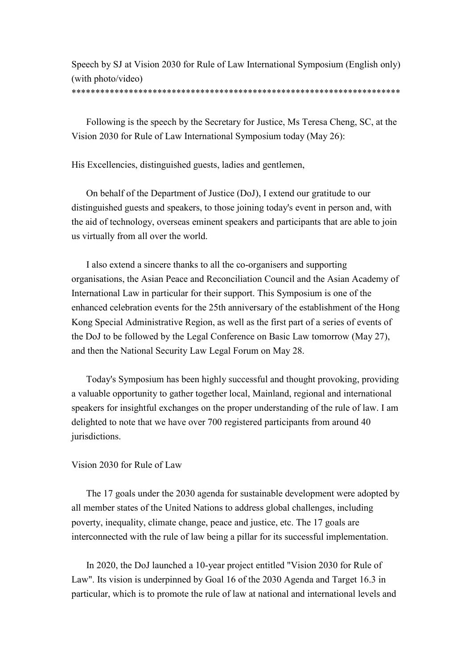Speech by SJ at Vision 2030 for Rule of Law International Symposium (English only) (with photo/video)

## \*\*\*\*\*\*\*\*\*\*\*\*\*\*\*\*\*\*\*\*\*\*\*\*\*\*\*\*\*\*\*\*\*\*\*\*\*\*\*\*\*\*\*\*\*\*\*\*\*\*\*\*\*\*\*\*\*\*\*\*\*\*\*\*\*\*\*\*\*

Following is the speech by the Secretary for Justice, Ms Teresa Cheng, SC, at the Vision 2030 for Rule of Law International Symposium today (May 26):

His Excellencies, distinguished guests, ladies and gentlemen,

On behalf of the Department of Justice (DoJ), I extend our gratitude to our distinguished guests and speakers, to those joining today's event in person and, with the aid of technology, overseas eminent speakers and participants that are able to join us virtually from all over the world.

I also extend a sincere thanks to all the co-organisers and supporting organisations, the Asian Peace and Reconciliation Council and the Asian Academy of International Law in particular for their support. This Symposium is one of the enhanced celebration events for the 25th anniversary of the establishment of the Hong Kong Special Administrative Region, as well as the first part of a series of events of the DoJ to be followed by the Legal Conference on Basic Law tomorrow (May 27), and then the National Security Law Legal Forum on May 28.

Today's Symposium has been highly successful and thought provoking, providing a valuable opportunity to gather together local, Mainland, regional and international speakers for insightful exchanges on the proper understanding of the rule of law. I am delighted to note that we have over 700 registered participants from around 40 jurisdictions.

## Vision 2030 for Rule of Law

The 17 goals under the 2030 agenda for sustainable development were adopted by all member states of the United Nations to address global challenges, including poverty, inequality, climate change, peace and justice, etc. The 17 goals are interconnected with the rule of law being a pillar for its successful implementation.

 In 2020, the DoJ launched a 10-year project entitled "Vision 2030 for Rule of Law". Its vision is underpinned by Goal 16 of the 2030 Agenda and Target 16.3 in particular, which is to promote the rule of law at national and international levels and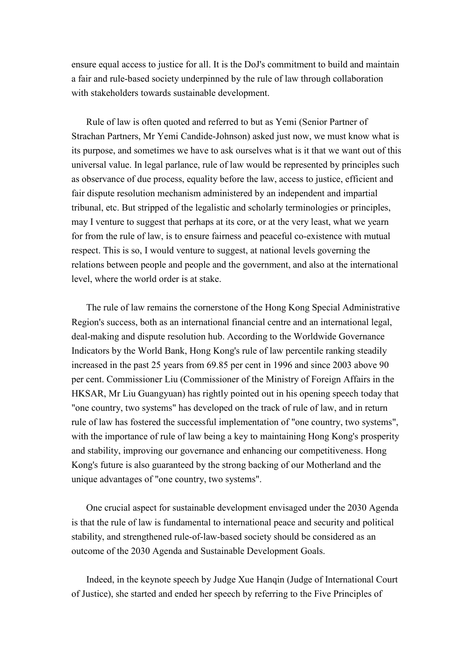ensure equal access to justice for all. It is the DoJ's commitment to build and maintain a fair and rule-based society underpinned by the rule of law through collaboration with stakeholders towards sustainable development.

Rule of law is often quoted and referred to but as Yemi (Senior Partner of Strachan Partners, Mr Yemi Candide-Johnson) asked just now, we must know what is its purpose, and sometimes we have to ask ourselves what is it that we want out of this universal value. In legal parlance, rule of law would be represented by principles such as observance of due process, equality before the law, access to justice, efficient and fair dispute resolution mechanism administered by an independent and impartial tribunal, etc. But stripped of the legalistic and scholarly terminologies or principles, may I venture to suggest that perhaps at its core, or at the very least, what we yearn for from the rule of law, is to ensure fairness and peaceful co-existence with mutual respect. This is so, I would venture to suggest, at national levels governing the relations between people and people and the government, and also at the international level, where the world order is at stake.

The rule of law remains the cornerstone of the Hong Kong Special Administrative Region's success, both as an international financial centre and an international legal, deal-making and dispute resolution hub. According to the Worldwide Governance Indicators by the World Bank, Hong Kong's rule of law percentile ranking steadily increased in the past 25 years from 69.85 per cent in 1996 and since 2003 above 90 per cent. Commissioner Liu (Commissioner of the Ministry of Foreign Affairs in the HKSAR, Mr Liu Guangyuan) has rightly pointed out in his opening speech today that "one country, two systems" has developed on the track of rule of law, and in return rule of law has fostered the successful implementation of "one country, two systems", with the importance of rule of law being a key to maintaining Hong Kong's prosperity and stability, improving our governance and enhancing our competitiveness. Hong Kong's future is also guaranteed by the strong backing of our Motherland and the unique advantages of "one country, two systems".

One crucial aspect for sustainable development envisaged under the 2030 Agenda is that the rule of law is fundamental to international peace and security and political stability, and strengthened rule-of-law-based society should be considered as an outcome of the 2030 Agenda and Sustainable Development Goals.

Indeed, in the keynote speech by Judge Xue Hanqin (Judge of International Court of Justice), she started and ended her speech by referring to the Five Principles of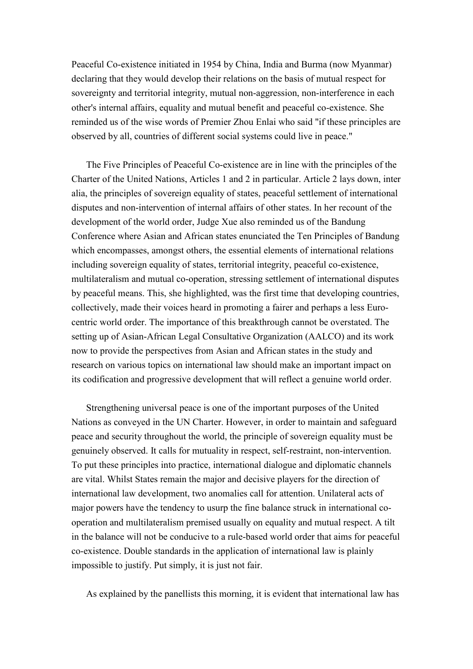Peaceful Co-existence initiated in 1954 by China, India and Burma (now Myanmar) declaring that they would develop their relations on the basis of mutual respect for sovereignty and territorial integrity, mutual non-aggression, non-interference in each other's internal affairs, equality and mutual benefit and peaceful co-existence. She reminded us of the wise words of Premier Zhou Enlai who said "if these principles are observed by all, countries of different social systems could live in peace."

The Five Principles of Peaceful Co-existence are in line with the principles of the Charter of the United Nations, Articles 1 and 2 in particular. Article 2 lays down, inter alia, the principles of sovereign equality of states, peaceful settlement of international disputes and non-intervention of internal affairs of other states. In her recount of the development of the world order, Judge Xue also reminded us of the Bandung Conference where Asian and African states enunciated the Ten Principles of Bandung which encompasses, amongst others, the essential elements of international relations including sovereign equality of states, territorial integrity, peaceful co-existence, multilateralism and mutual co-operation, stressing settlement of international disputes by peaceful means. This, she highlighted, was the first time that developing countries, collectively, made their voices heard in promoting a fairer and perhaps a less Eurocentric world order. The importance of this breakthrough cannot be overstated. The setting up of Asian-African Legal Consultative Organization (AALCO) and its work now to provide the perspectives from Asian and African states in the study and research on various topics on international law should make an important impact on its codification and progressive development that will reflect a genuine world order.

Strengthening universal peace is one of the important purposes of the United Nations as conveyed in the UN Charter. However, in order to maintain and safeguard peace and security throughout the world, the principle of sovereign equality must be genuinely observed. It calls for mutuality in respect, self-restraint, non-intervention. To put these principles into practice, international dialogue and diplomatic channels are vital. Whilst States remain the major and decisive players for the direction of international law development, two anomalies call for attention. Unilateral acts of major powers have the tendency to usurp the fine balance struck in international cooperation and multilateralism premised usually on equality and mutual respect. A tilt in the balance will not be conducive to a rule-based world order that aims for peaceful co-existence. Double standards in the application of international law is plainly impossible to justify. Put simply, it is just not fair.

As explained by the panellists this morning, it is evident that international law has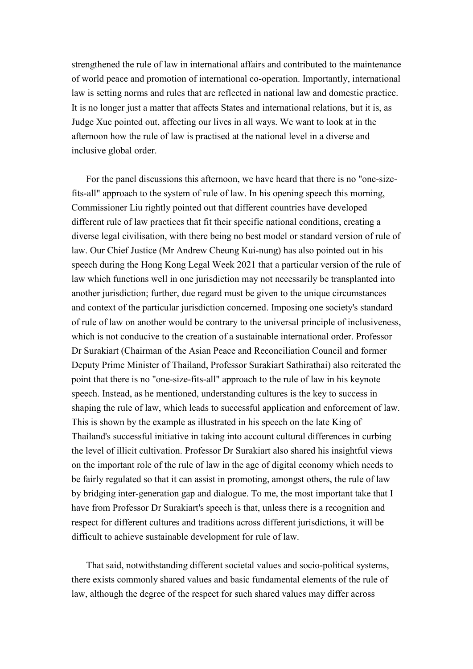strengthened the rule of law in international affairs and contributed to the maintenance of world peace and promotion of international co-operation. Importantly, international law is setting norms and rules that are reflected in national law and domestic practice. It is no longer just a matter that affects States and international relations, but it is, as Judge Xue pointed out, affecting our lives in all ways. We want to look at in the afternoon how the rule of law is practised at the national level in a diverse and inclusive global order.

For the panel discussions this afternoon, we have heard that there is no "one-sizefits-all" approach to the system of rule of law. In his opening speech this morning, Commissioner Liu rightly pointed out that different countries have developed different rule of law practices that fit their specific national conditions, creating a diverse legal civilisation, with there being no best model or standard version of rule of law. Our Chief Justice (Mr Andrew Cheung Kui-nung) has also pointed out in his speech during the Hong Kong Legal Week 2021 that a particular version of the rule of law which functions well in one jurisdiction may not necessarily be transplanted into another jurisdiction; further, due regard must be given to the unique circumstances and context of the particular jurisdiction concerned. Imposing one society's standard of rule of law on another would be contrary to the universal principle of inclusiveness, which is not conducive to the creation of a sustainable international order. Professor Dr Surakiart (Chairman of the Asian Peace and Reconciliation Council and former Deputy Prime Minister of Thailand, Professor Surakiart Sathirathai) also reiterated the point that there is no "one-size-fits-all" approach to the rule of law in his keynote speech. Instead, as he mentioned, understanding cultures is the key to success in shaping the rule of law, which leads to successful application and enforcement of law. This is shown by the example as illustrated in his speech on the late King of Thailand's successful initiative in taking into account cultural differences in curbing the level of illicit cultivation. Professor Dr Surakiart also shared his insightful views on the important role of the rule of law in the age of digital economy which needs to be fairly regulated so that it can assist in promoting, amongst others, the rule of law by bridging inter-generation gap and dialogue. To me, the most important take that I have from Professor Dr Surakiart's speech is that, unless there is a recognition and respect for different cultures and traditions across different jurisdictions, it will be difficult to achieve sustainable development for rule of law.

That said, notwithstanding different societal values and socio-political systems, there exists commonly shared values and basic fundamental elements of the rule of law, although the degree of the respect for such shared values may differ across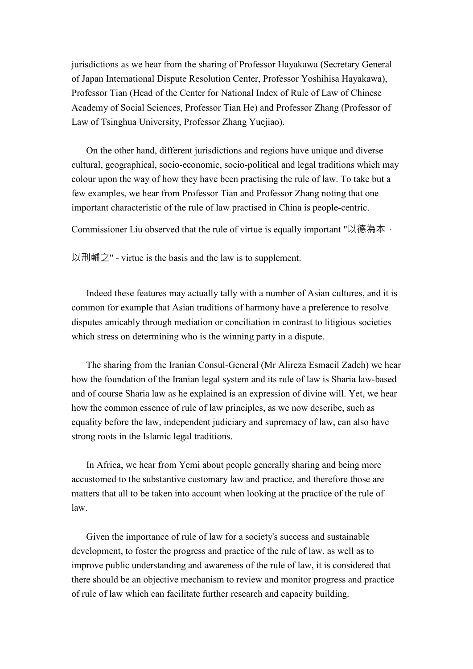jurisdictions as we hear from the sharing of Professor Hayakawa (Secretary General of Japan International Dispute Resolution Center, Professor Yoshihisa Hayakawa), Professor Tian (Head of the Center for National Index of Rule of Law of Chinese Academy of Social Sciences, Professor Tian He) and Professor Zhang (Professor of Law of Tsinghua University, Professor Zhang Yuejiao).

On the other hand, different jurisdictions and regions have unique and diverse cultural, geographical, socio-economic, socio-political and legal traditions which may colour upon the way of how they have been practising the rule of law. To take but a few examples, we hear from Professor Tian and Professor Zhang noting that one important characteristic of the rule of law practised in China is people-centric.

Commissioner Liu observed that the rule of virtue is equally important "以德為本,

以刑輔之" - virtue is the basis and the law is to supplement.

Indeed these features may actually tally with a number of Asian cultures, and it is common for example that Asian traditions of harmony have a preference to resolve disputes amicably through mediation or conciliation in contrast to litigious societies which stress on determining who is the winning party in a dispute.

The sharing from the Iranian Consul-General (Mr Alireza Esmaeil Zadeh) we hear how the foundation of the Iranian legal system and its rule of law is Sharia law-based and of course Sharia law as he explained is an expression of divine will. Yet, we hear how the common essence of rule of law principles, as we now describe, such as equality before the law, independent judiciary and supremacy of law, can also have strong roots in the Islamic legal traditions.

In Africa, we hear from Yemi about people generally sharing and being more accustomed to the substantive customary law and practice, and therefore those are matters that all to be taken into account when looking at the practice of the rule of law.

Given the importance of rule of law for a society's success and sustainable development, to foster the progress and practice of the rule of law, as well as to improve public understanding and awareness of the rule of law, it is considered that there should be an objective mechanism to review and monitor progress and practice of rule of law which can facilitate further research and capacity building.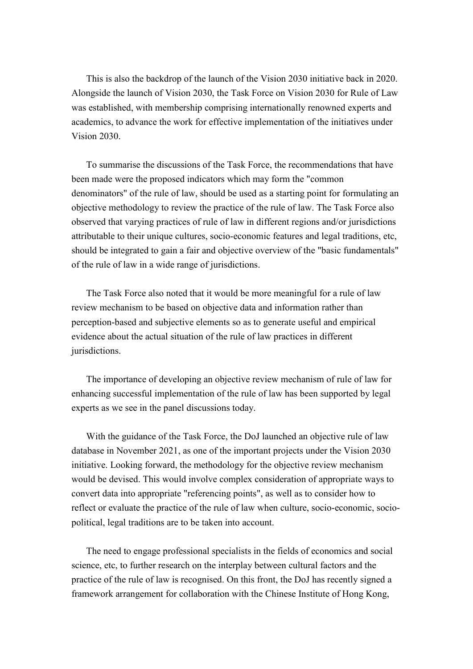This is also the backdrop of the launch of the Vision 2030 initiative back in 2020. Alongside the launch of Vision 2030, the Task Force on Vision 2030 for Rule of Law was established, with membership comprising internationally renowned experts and academics, to advance the work for effective implementation of the initiatives under Vision 2030.

To summarise the discussions of the Task Force, the recommendations that have been made were the proposed indicators which may form the "common denominators" of the rule of law, should be used as a starting point for formulating an objective methodology to review the practice of the rule of law. The Task Force also observed that varying practices of rule of law in different regions and/or jurisdictions attributable to their unique cultures, socio-economic features and legal traditions, etc, should be integrated to gain a fair and objective overview of the "basic fundamentals" of the rule of law in a wide range of jurisdictions.

The Task Force also noted that it would be more meaningful for a rule of law review mechanism to be based on objective data and information rather than perception-based and subjective elements so as to generate useful and empirical evidence about the actual situation of the rule of law practices in different jurisdictions.

The importance of developing an objective review mechanism of rule of law for enhancing successful implementation of the rule of law has been supported by legal experts as we see in the panel discussions today.

With the guidance of the Task Force, the DoJ launched an objective rule of law database in November 2021, as one of the important projects under the Vision 2030 initiative. Looking forward, the methodology for the objective review mechanism would be devised. This would involve complex consideration of appropriate ways to convert data into appropriate "referencing points", as well as to consider how to reflect or evaluate the practice of the rule of law when culture, socio-economic, sociopolitical, legal traditions are to be taken into account.

The need to engage professional specialists in the fields of economics and social science, etc, to further research on the interplay between cultural factors and the practice of the rule of law is recognised. On this front, the DoJ has recently signed a framework arrangement for collaboration with the Chinese Institute of Hong Kong,